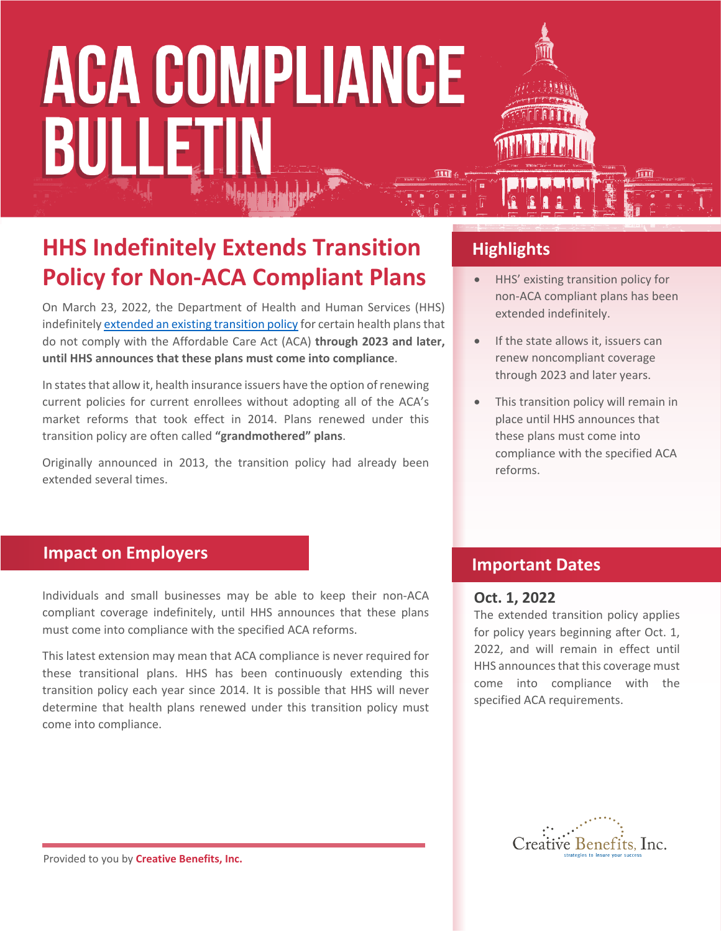# **ACA COMPLIANCE** BULLETI

### **HHS Indefinitely Extends Transition Policy for Non-ACA Compliant Plans**

On March 23, 2022, the Department of Health and Human Services (HHS) indefinitely [extended an existing transition policy](https://www.cms.gov/files/document/extension-limited-non-enforcement-policy-through-calendar-year-2023-and-later-benefit-years.pdf) for certain health plans that do not comply with the Affordable Care Act (ACA) **through 2023 and later, until HHS announces that these plans must come into compliance**.

In states that allow it, health insurance issuers have the option of renewing current policies for current enrollees without adopting all of the ACA's market reforms that took effect in 2014. Plans renewed under this transition policy are often called **"grandmothered" plans**.

Originally announced in 2013, the transition policy had already been extended several times.

#### **Highlights**

- HHS' existing transition policy for non-ACA compliant plans has been extended indefinitely.
- If the state allows it, issuers can renew noncompliant coverage through 2023 and later years.
- This transition policy will remain in place until HHS announces that these plans must come into compliance with the specified ACA reforms.

#### **Impact on Employers**

Individuals and small businesses may be able to keep their non-ACA compliant coverage indefinitely, until HHS announces that these plans must come into compliance with the specified ACA reforms.

This latest extension may mean that ACA compliance is never required for these transitional plans. HHS has been continuously extending this transition policy each year since 2014. It is possible that HHS will never determine that health plans renewed under this transition policy must come into compliance.

#### **Important Dates**

#### **Oct. 1, 2022**

The extended transition policy applies for policy years beginning after Oct. 1, 2022, and will remain in effect until HHS announces that this coverage must come into compliance with the specified ACA requirements.



Provided to you by **Creative Benefits, Inc.**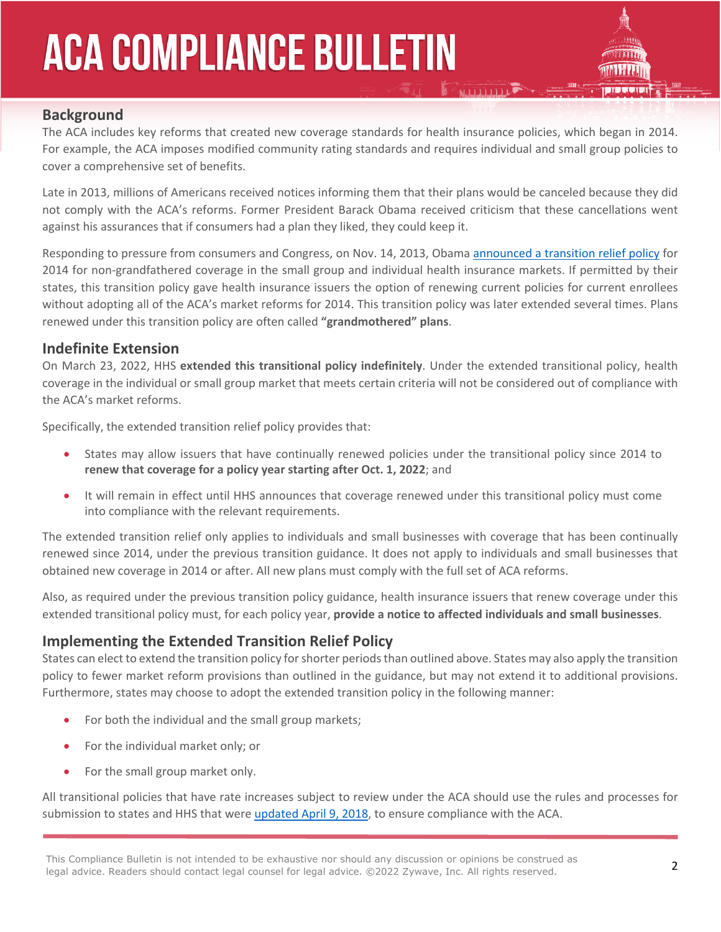## **ACA COMPLIANCE BULLETIN**



#### **Background**

The ACA includes key reforms that created new coverage standards for health insurance policies, which began in 2014. For example, the ACA imposes modified community rating standards and requires individual and small group policies to cover a comprehensive set of benefits.

Late in 2013, millions of Americans received notices informing them that their plans would be canceled because they did not comply with the ACA's reforms. Former President Barack Obama received criticism that these cancellations went against his assurances that if consumers had a plan they liked, they could keep it.

Responding to pressure from consumers and Congress, on Nov. 14, 2013, Obama [announced a transition relief policy](http://www.cms.gov/CCIIO/Resources/Letters/Downloads/commissioner-letter-11-14-2013.PDF) for 2014 for non-grandfathered coverage in the small group and individual health insurance markets. If permitted by their states, this transition policy gave health insurance issuers the option of renewing current policies for current enrollees without adopting all of the ACA's market reforms for 2014. This transition policy was later extended several times. Plans renewed under this transition policy are often called **"grandmothered" plans**.

#### **Indefinite Extension**

On March 23, 2022, HHS **extended this transitional policy indefinitely**. Under the extended transitional policy, health coverage in the individual or small group market that meets certain criteria will not be considered out of compliance with the ACA's market reforms.

Specifically, the extended transition relief policy provides that:

- States may allow issuers that have continually renewed policies under the transitional policy since 2014 to **renew that coverage for a policy year starting after Oct. 1, 2022**; and
- It will remain in effect until HHS announces that coverage renewed under this transitional policy must come into compliance with the relevant requirements.

The extended transition relief only applies to individuals and small businesses with coverage that has been continually renewed since 2014, under the previous transition guidance. It does not apply to individuals and small businesses that obtained new coverage in 2014 or after. All new plans must comply with the full set of ACA reforms.

Also, as required under the previous transition policy guidance, health insurance issuers that renew coverage under this extended transitional policy must, for each policy year, **provide a notice to affected individuals and small businesses**.

#### **Implementing the Extended Transition Relief Policy**

States can elect to extend the transition policy for shorter periods than outlined above. States may also apply the transition policy to fewer market reform provisions than outlined in the guidance, but may not extend it to additional provisions. Furthermore, states may choose to adopt the extended transition policy in the following manner:

- For both the individual and the small group markets;
- For the individual market only; or
- For the small group market only.

All transitional policies that have rate increases subject to review under the ACA should use the rules and processes for submission to states and HHS that were [updated April 9, 2018,](https://www.cms.gov/CCIIO/Resources/Regulations-and-Guidance/Downloads/2019-RRJ-Instructions.pdf) to ensure compliance with the ACA.